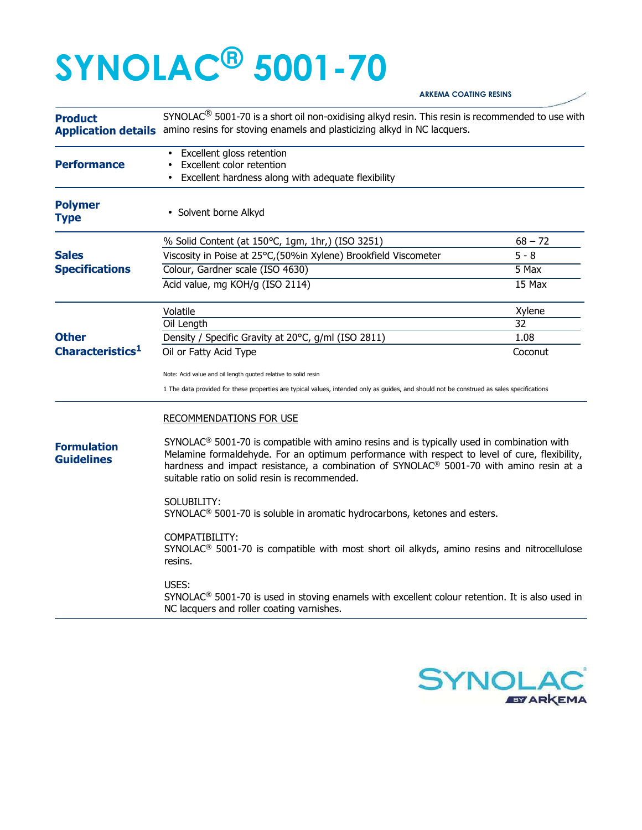## **SYNOLAC® 5001-70**

## **Product Application details** amino resins for stoving enamels and plasticizing alkyd in NC lacquers. SYNOLAC<sup>®</sup> 5001-70 is a short oil non-oxidising alkyd resin. This resin is recommended to use with • Excellent gloss retention **Performance** • Excellent color retention • Excellent hardness along with adequate flexibility **Polymer**  • Solvent borne Alkyd **Type** % Solid Content (at 150°C, 1gm, 1hr,) (ISO 3251) 68 – 72 **Sales Viscosity in Poise at 25°C,(50%in Xylene) Brookfield Viscometer 5 - 8 Specifications Colour, Gardner scale (ISO 4630)** 5 Max Acid value, mg KOH/g (ISO 2114) 15 Max Volatile Xylene Oil Length 32 **Other** Density / Specific Gravity at 20°C, g/ml (ISO 2811) 1.08 **Characteristics<sup>1</sup>** Oil or Fatty Acid Type Coconut Note: Acid value and oil length quoted relative to solid resin 1 The data provided for these properties are typical values, intended only as guides, and should not be construed as sales specifications **Formulation Guidelines**  RECOMMENDATIONS FOR USE  $SYNOLAC<sup>®</sup> 5001-70$  is compatible with amino resins and is typically used in combination with Melamine formaldehyde. For an optimum performance with respect to level of cure, flexibility, hardness and impact resistance, a combination of SYNOLAC® 5001-70 with amino resin at a suitable ratio on solid resin is recommended. SOLUBILITY: SYNOLAC® 5001-70 is soluble in aromatic hydrocarbons, ketones and esters. COMPATIBILITY: SYNOLAC® 5001-70 is compatible with most short oil alkyds, amino resins and nitrocellulose resins. USES: SYNOLAC® 5001-70 is used in stoving enamels with excellent colour retention. It is also used in NC lacquers and roller coating varnishes.



**ARKEMA COATING RESINS**